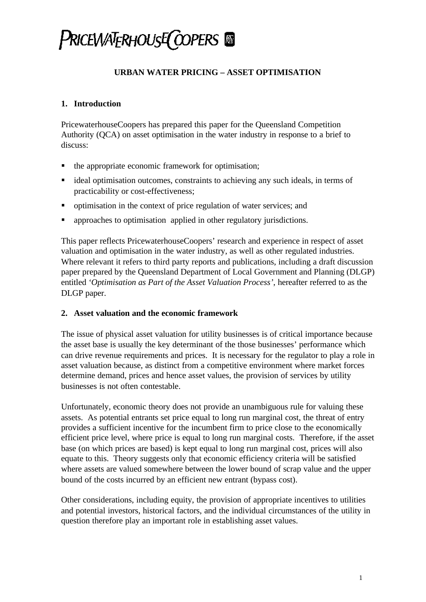## **URBAN WATER PRICING – ASSET OPTIMISATION**

## **1. Introduction**

PricewaterhouseCoopers has prepared this paper for the Queensland Competition Authority (QCA) on asset optimisation in the water industry in response to a brief to discuss:

- the appropriate economic framework for optimisation;
- ideal optimisation outcomes, constraints to achieving any such ideals, in terms of practicability or cost-effectiveness;
- optimisation in the context of price regulation of water services; and
- ß approaches to optimisation applied in other regulatory jurisdictions.

This paper reflects PricewaterhouseCoopers' research and experience in respect of asset valuation and optimisation in the water industry, as well as other regulated industries. Where relevant it refers to third party reports and publications, including a draft discussion paper prepared by the Queensland Department of Local Government and Planning (DLGP) entitled *'Optimisation as Part of the Asset Valuation Process'*, hereafter referred to as the DLGP paper.

### **2. Asset valuation and the economic framework**

The issue of physical asset valuation for utility businesses is of critical importance because the asset base is usually the key determinant of the those businesses' performance which can drive revenue requirements and prices. It is necessary for the regulator to play a role in asset valuation because, as distinct from a competitive environment where market forces determine demand, prices and hence asset values, the provision of services by utility businesses is not often contestable.

Unfortunately, economic theory does not provide an unambiguous rule for valuing these assets. As potential entrants set price equal to long run marginal cost, the threat of entry provides a sufficient incentive for the incumbent firm to price close to the economically efficient price level, where price is equal to long run marginal costs. Therefore, if the asset base (on which prices are based) is kept equal to long run marginal cost, prices will also equate to this. Theory suggests only that economic efficiency criteria will be satisfied where assets are valued somewhere between the lower bound of scrap value and the upper bound of the costs incurred by an efficient new entrant (bypass cost).

Other considerations, including equity, the provision of appropriate incentives to utilities and potential investors, historical factors, and the individual circumstances of the utility in question therefore play an important role in establishing asset values.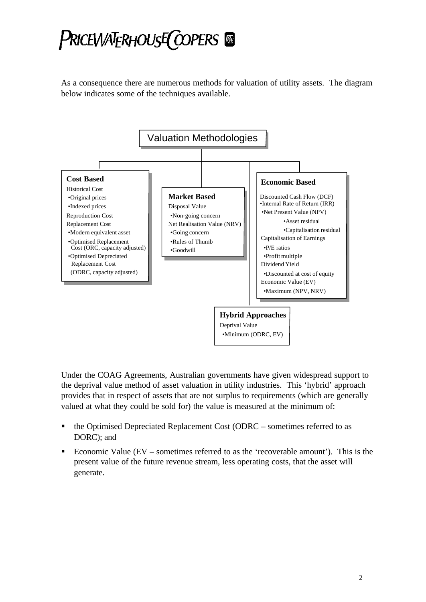As a consequence there are numerous methods for valuation of utility assets. The diagram below indicates some of the techniques available.



Under the COAG Agreements, Australian governments have given widespread support to the deprival value method of asset valuation in utility industries. This 'hybrid' approach provides that in respect of assets that are not surplus to requirements (which are generally valued at what they could be sold for) the value is measured at the minimum of:

- ß the Optimised Depreciated Replacement Cost (ODRC sometimes referred to as DORC); and
- ß Economic Value (EV sometimes referred to as the 'recoverable amount'). This is the present value of the future revenue stream, less operating costs, that the asset will generate.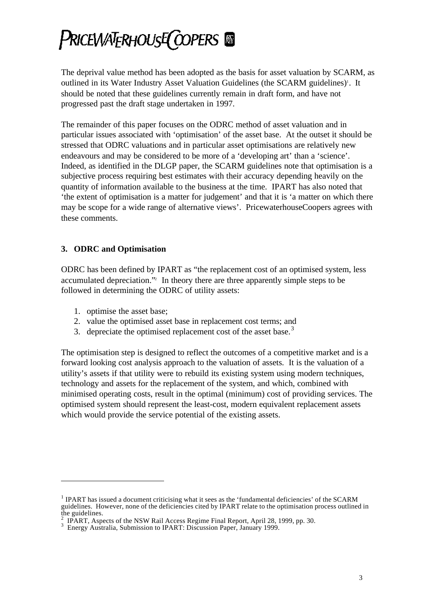The deprival value method has been adopted as the basis for asset valuation by SCARM, as outlined in its Water Industry Asset Valuation Guidelines (the SCARM guidelines)<sup>1</sup>. It should be noted that these guidelines currently remain in draft form, and have not progressed past the draft stage undertaken in 1997.

The remainder of this paper focuses on the ODRC method of asset valuation and in particular issues associated with 'optimisation' of the asset base. At the outset it should be stressed that ODRC valuations and in particular asset optimisations are relatively new endeavours and may be considered to be more of a 'developing art' than a 'science'. Indeed, as identified in the DLGP paper, the SCARM guidelines note that optimisation is a subjective process requiring best estimates with their accuracy depending heavily on the quantity of information available to the business at the time. IPART has also noted that 'the extent of optimisation is a matter for judgement' and that it is 'a matter on which there may be scope for a wide range of alternative views'. PricewaterhouseCoopers agrees with these comments.

### **3. ODRC and Optimisation**

ODRC has been defined by IPART as "the replacement cost of an optimised system, less accumulated depreciation." In theory there are three apparently simple steps to be followed in determining the ODRC of utility assets:

1. optimise the asset base;

l

- 2. value the optimised asset base in replacement cost terms; and
- 3. depreciate the optimised replacement cost of the asset base. $3$

The optimisation step is designed to reflect the outcomes of a competitive market and is a forward looking cost analysis approach to the valuation of assets. It is the valuation of a utility's assets if that utility were to rebuild its existing system using modern techniques, technology and assets for the replacement of the system, and which, combined with minimised operating costs, result in the optimal (minimum) cost of providing services. The optimised system should represent the least-cost, modern equivalent replacement assets which would provide the service potential of the existing assets.

 $<sup>1</sup>$  IPART has issued a document criticising what it sees as the 'fundamental deficiencies' of the SCARM</sup> guidelines. However, none of the deficiencies cited by IPART relate to the optimisation process outlined in the guidelines.

<sup>2</sup> IPART, Aspects of the NSW Rail Access Regime Final Report, April 28, 1999, pp. 30.

<sup>&</sup>lt;sup>3</sup> Energy Australia, Submission to IPART: Discussion Paper, January 1999.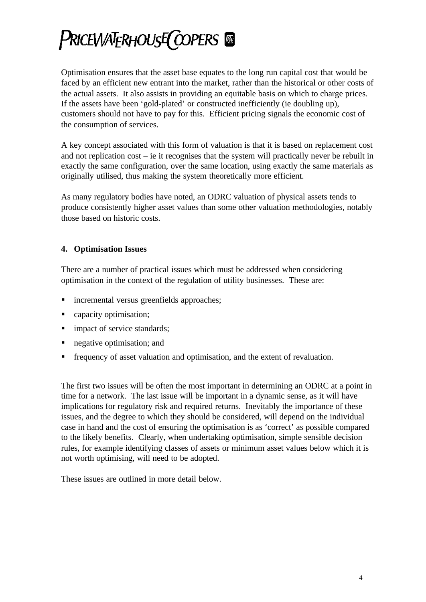Optimisation ensures that the asset base equates to the long run capital cost that would be faced by an efficient new entrant into the market, rather than the historical or other costs of the actual assets. It also assists in providing an equitable basis on which to charge prices. If the assets have been 'gold-plated' or constructed inefficiently (ie doubling up), customers should not have to pay for this. Efficient pricing signals the economic cost of the consumption of services.

A key concept associated with this form of valuation is that it is based on replacement cost and not replication cost – ie it recognises that the system will practically never be rebuilt in exactly the same configuration, over the same location, using exactly the same materials as originally utilised, thus making the system theoretically more efficient.

As many regulatory bodies have noted, an ODRC valuation of physical assets tends to produce consistently higher asset values than some other valuation methodologies, notably those based on historic costs.

### **4. Optimisation Issues**

There are a number of practical issues which must be addressed when considering optimisation in the context of the regulation of utility businesses. These are:

- ß incremental versus greenfields approaches;
- capacity optimisation;
- **n** impact of service standards;
- **negative optimisation; and**
- ß frequency of asset valuation and optimisation, and the extent of revaluation.

The first two issues will be often the most important in determining an ODRC at a point in time for a network. The last issue will be important in a dynamic sense, as it will have implications for regulatory risk and required returns. Inevitably the importance of these issues, and the degree to which they should be considered, will depend on the individual case in hand and the cost of ensuring the optimisation is as 'correct' as possible compared to the likely benefits. Clearly, when undertaking optimisation, simple sensible decision rules, for example identifying classes of assets or minimum asset values below which it is not worth optimising, will need to be adopted.

These issues are outlined in more detail below.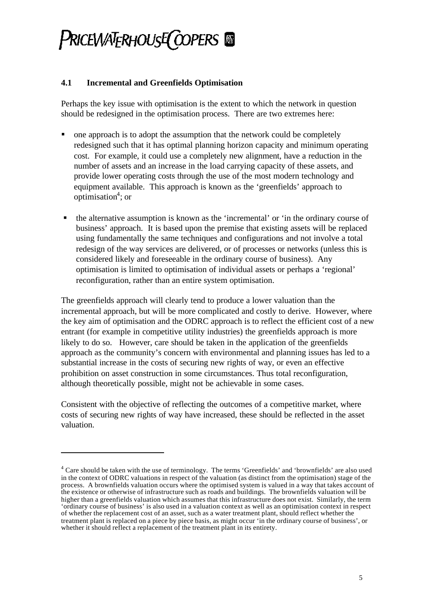### **4.1 Incremental and Greenfields Optimisation**

Perhaps the key issue with optimisation is the extent to which the network in question should be redesigned in the optimisation process. There are two extremes here:

- ß one approach is to adopt the assumption that the network could be completely redesigned such that it has optimal planning horizon capacity and minimum operating cost. For example, it could use a completely new alignment, have a reduction in the number of assets and an increase in the load carrying capacity of these assets, and provide lower operating costs through the use of the most modern technology and equipment available. This approach is known as the 'greenfields' approach to  $optimisation<sup>4</sup>$ ; or
- $\blacksquare$  the alternative assumption is known as the 'incremental' or 'in the ordinary course of business' approach. It is based upon the premise that existing assets will be replaced using fundamentally the same techniques and configurations and not involve a total redesign of the way services are delivered, or of processes or networks (unless this is considered likely and foreseeable in the ordinary course of business). Any optimisation is limited to optimisation of individual assets or perhaps a 'regional' reconfiguration, rather than an entire system optimisation.

The greenfields approach will clearly tend to produce a lower valuation than the incremental approach, but will be more complicated and costly to derive. However, where the key aim of optimisation and the ODRC approach is to reflect the efficient cost of a new entrant (for example in competitive utility industries) the greenfields approach is more likely to do so. However, care should be taken in the application of the greenfields approach as the community's concern with environmental and planning issues has led to a substantial increase in the costs of securing new rights of way, or even an effective prohibition on asset construction in some circumstances. Thus total reconfiguration, although theoretically possible, might not be achievable in some cases.

Consistent with the objective of reflecting the outcomes of a competitive market, where costs of securing new rights of way have increased, these should be reflected in the asset valuation.

l

<sup>&</sup>lt;sup>4</sup> Care should be taken with the use of terminology. The terms 'Greenfields' and 'brownfields' are also used in the context of ODRC valuations in respect of the valuation (as distinct from the optimisation) stage of the process. A brownfields valuation occurs where the optimised system is valued in a way that takes account of the existence or otherwise of infrastructure such as roads and buildings. The brownfields valuation will be higher than a greenfields valuation which assumes that this infrastructure does not exist. Similarly, the term 'ordinary course of business' is also used in a valuation context as well as an optimisation context in respect of whether the replacement cost of an asset, such as a water treatment plant, should reflect whether the treatment plant is replaced on a piece by piece basis, as might occur 'in the ordinary course of business', or whether it should reflect a replacement of the treatment plant in its entirety.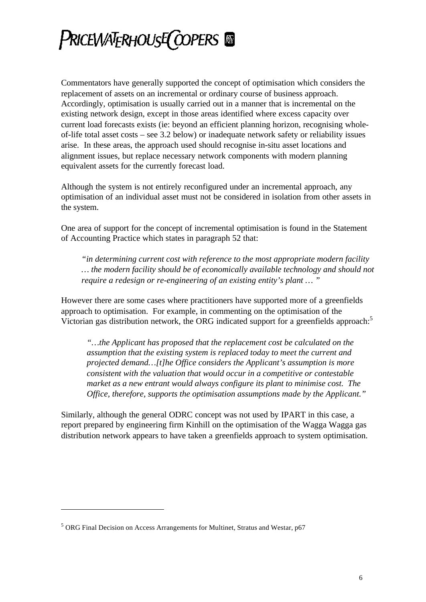Commentators have generally supported the concept of optimisation which considers the replacement of assets on an incremental or ordinary course of business approach. Accordingly, optimisation is usually carried out in a manner that is incremental on the existing network design, except in those areas identified where excess capacity over current load forecasts exists (ie: beyond an efficient planning horizon, recognising wholeof-life total asset costs – see 3.2 below) or inadequate network safety or reliability issues arise. In these areas, the approach used should recognise in-situ asset locations and alignment issues, but replace necessary network components with modern planning equivalent assets for the currently forecast load.

Although the system is not entirely reconfigured under an incremental approach, any optimisation of an individual asset must not be considered in isolation from other assets in the system.

One area of support for the concept of incremental optimisation is found in the Statement of Accounting Practice which states in paragraph 52 that:

*"in determining current cost with reference to the most appropriate modern facility … the modern facility should be of economically available technology and should not require a redesign or re-engineering of an existing entity's plant … "*

However there are some cases where practitioners have supported more of a greenfields approach to optimisation. For example, in commenting on the optimisation of the Victorian gas distribution network, the ORG indicated support for a greenfields approach:<sup>5</sup>

*"…the Applicant has proposed that the replacement cost be calculated on the assumption that the existing system is replaced today to meet the current and projected demand…[t]he Office considers the Applicant's assumption is more consistent with the valuation that would occur in a competitive or contestable market as a new entrant would always configure its plant to minimise cost. The Office, therefore, supports the optimisation assumptions made by the Applicant."*

Similarly, although the general ODRC concept was not used by IPART in this case, a report prepared by engineering firm Kinhill on the optimisation of the Wagga Wagga gas distribution network appears to have taken a greenfields approach to system optimisation.

l

<sup>&</sup>lt;sup>5</sup> ORG Final Decision on Access Arrangements for Multinet, Stratus and Westar, p67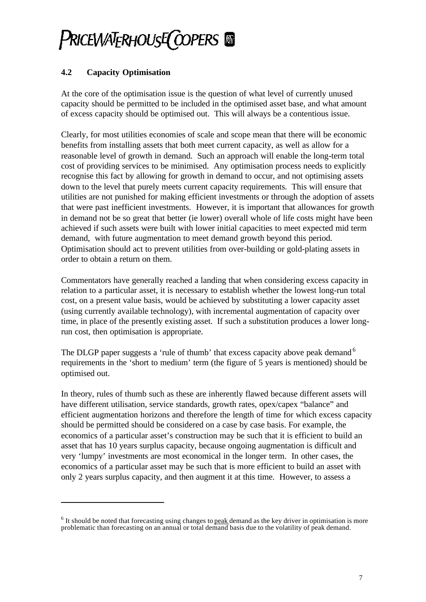## **4.2 Capacity Optimisation**

l

At the core of the optimisation issue is the question of what level of currently unused capacity should be permitted to be included in the optimised asset base, and what amount of excess capacity should be optimised out. This will always be a contentious issue.

Clearly, for most utilities economies of scale and scope mean that there will be economic benefits from installing assets that both meet current capacity, as well as allow for a reasonable level of growth in demand. Such an approach will enable the long-term total cost of providing services to be minimised. Any optimisation process needs to explicitly recognise this fact by allowing for growth in demand to occur, and not optimising assets down to the level that purely meets current capacity requirements. This will ensure that utilities are not punished for making efficient investments or through the adoption of assets that were past inefficient investments. However, it is important that allowances for growth in demand not be so great that better (ie lower) overall whole of life costs might have been achieved if such assets were built with lower initial capacities to meet expected mid term demand, with future augmentation to meet demand growth beyond this period. Optimisation should act to prevent utilities from over-building or gold-plating assets in order to obtain a return on them.

Commentators have generally reached a landing that when considering excess capacity in relation to a particular asset, it is necessary to establish whether the lowest long-run total cost, on a present value basis, would be achieved by substituting a lower capacity asset (using currently available technology), with incremental augmentation of capacity over time, in place of the presently existing asset. If such a substitution produces a lower longrun cost, then optimisation is appropriate.

The DLGP paper suggests a 'rule of thumb' that excess capacity above peak demand  $6$ requirements in the 'short to medium' term (the figure of 5 years is mentioned) should be optimised out.

In theory, rules of thumb such as these are inherently flawed because different assets will have different utilisation, service standards, growth rates, opex/capex "balance" and efficient augmentation horizons and therefore the length of time for which excess capacity should be permitted should be considered on a case by case basis. For example, the economics of a particular asset's construction may be such that it is efficient to build an asset that has 10 years surplus capacity, because ongoing augmentation is difficult and very 'lumpy' investments are most economical in the longer term. In other cases, the economics of a particular asset may be such that is more efficient to build an asset with only 2 years surplus capacity, and then augment it at this time. However, to assess a

 $<sup>6</sup>$  It should be noted that forecasting using changes to **peak** demand as the key driver in optimisation is more</sup> problematic than forecasting on an annual or total demand basis due to the volatility of peak demand.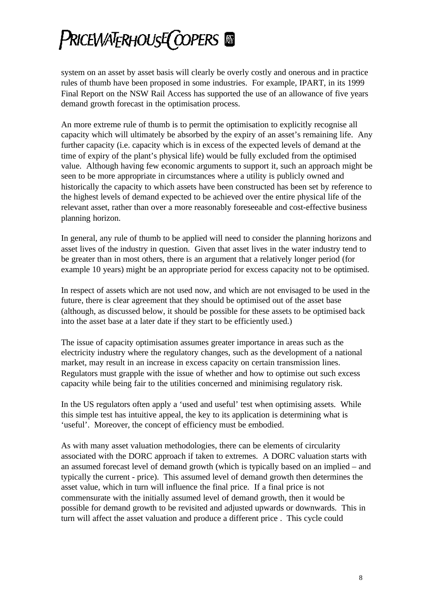system on an asset by asset basis will clearly be overly costly and onerous and in practice rules of thumb have been proposed in some industries. For example, IPART, in its 1999 Final Report on the NSW Rail Access has supported the use of an allowance of five years demand growth forecast in the optimisation process.

An more extreme rule of thumb is to permit the optimisation to explicitly recognise all capacity which will ultimately be absorbed by the expiry of an asset's remaining life. Any further capacity (i.e. capacity which is in excess of the expected levels of demand at the time of expiry of the plant's physical life) would be fully excluded from the optimised value. Although having few economic arguments to support it, such an approach might be seen to be more appropriate in circumstances where a utility is publicly owned and historically the capacity to which assets have been constructed has been set by reference to the highest levels of demand expected to be achieved over the entire physical life of the relevant asset, rather than over a more reasonably foreseeable and cost-effective business planning horizon.

In general, any rule of thumb to be applied will need to consider the planning horizons and asset lives of the industry in question. Given that asset lives in the water industry tend to be greater than in most others, there is an argument that a relatively longer period (for example 10 years) might be an appropriate period for excess capacity not to be optimised.

In respect of assets which are not used now, and which are not envisaged to be used in the future, there is clear agreement that they should be optimised out of the asset base (although, as discussed below, it should be possible for these assets to be optimised back into the asset base at a later date if they start to be efficiently used.)

The issue of capacity optimisation assumes greater importance in areas such as the electricity industry where the regulatory changes, such as the development of a national market, may result in an increase in excess capacity on certain transmission lines. Regulators must grapple with the issue of whether and how to optimise out such excess capacity while being fair to the utilities concerned and minimising regulatory risk.

In the US regulators often apply a 'used and useful' test when optimising assets. While this simple test has intuitive appeal, the key to its application is determining what is 'useful'. Moreover, the concept of efficiency must be embodied.

As with many asset valuation methodologies, there can be elements of circularity associated with the DORC approach if taken to extremes. A DORC valuation starts with an assumed forecast level of demand growth (which is typically based on an implied – and typically the current - price). This assumed level of demand growth then determines the asset value, which in turn will influence the final price. If a final price is not commensurate with the initially assumed level of demand growth, then it would be possible for demand growth to be revisited and adjusted upwards or downwards. This in turn will affect the asset valuation and produce a different price . This cycle could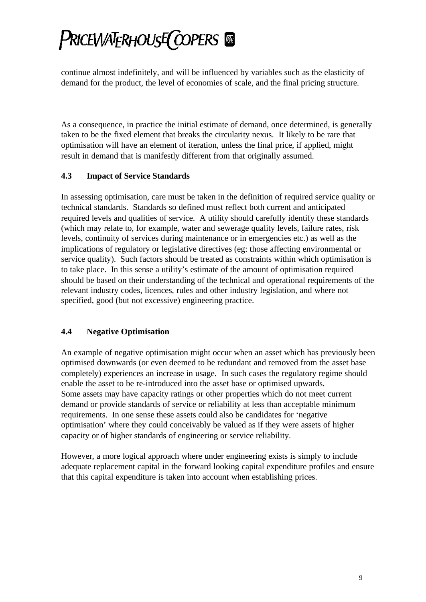continue almost indefinitely, and will be influenced by variables such as the elasticity of demand for the product, the level of economies of scale, and the final pricing structure.

As a consequence, in practice the initial estimate of demand, once determined, is generally taken to be the fixed element that breaks the circularity nexus. It likely to be rare that optimisation will have an element of iteration, unless the final price, if applied, might result in demand that is manifestly different from that originally assumed.

### **4.3 Impact of Service Standards**

In assessing optimisation, care must be taken in the definition of required service quality or technical standards. Standards so defined must reflect both current and anticipated required levels and qualities of service. A utility should carefully identify these standards (which may relate to, for example, water and sewerage quality levels, failure rates, risk levels, continuity of services during maintenance or in emergencies etc.) as well as the implications of regulatory or legislative directives (eg: those affecting environmental or service quality). Such factors should be treated as constraints within which optimisation is to take place. In this sense a utility's estimate of the amount of optimisation required should be based on their understanding of the technical and operational requirements of the relevant industry codes, licences, rules and other industry legislation, and where not specified, good (but not excessive) engineering practice.

## **4.4 Negative Optimisation**

An example of negative optimisation might occur when an asset which has previously been optimised downwards (or even deemed to be redundant and removed from the asset base completely) experiences an increase in usage. In such cases the regulatory regime should enable the asset to be re-introduced into the asset base or optimised upwards. Some assets may have capacity ratings or other properties which do not meet current demand or provide standards of service or reliability at less than acceptable minimum requirements. In one sense these assets could also be candidates for 'negative optimisation' where they could conceivably be valued as if they were assets of higher capacity or of higher standards of engineering or service reliability.

However, a more logical approach where under engineering exists is simply to include adequate replacement capital in the forward looking capital expenditure profiles and ensure that this capital expenditure is taken into account when establishing prices.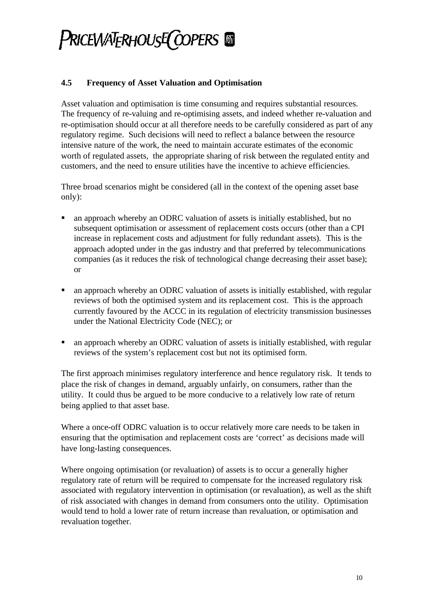### **4.5 Frequency of Asset Valuation and Optimisation**

Asset valuation and optimisation is time consuming and requires substantial resources. The frequency of re-valuing and re-optimising assets, and indeed whether re-valuation and re-optimisation should occur at all therefore needs to be carefully considered as part of any regulatory regime. Such decisions will need to reflect a balance between the resource intensive nature of the work, the need to maintain accurate estimates of the economic worth of regulated assets, the appropriate sharing of risk between the regulated entity and customers, and the need to ensure utilities have the incentive to achieve efficiencies.

Three broad scenarios might be considered (all in the context of the opening asset base only):

- ß an approach whereby an ODRC valuation of assets is initially established, but no subsequent optimisation or assessment of replacement costs occurs (other than a CPI increase in replacement costs and adjustment for fully redundant assets). This is the approach adopted under in the gas industry and that preferred by telecommunications companies (as it reduces the risk of technological change decreasing their asset base); or
- ß an approach whereby an ODRC valuation of assets is initially established, with regular reviews of both the optimised system and its replacement cost. This is the approach currently favoured by the ACCC in its regulation of electricity transmission businesses under the National Electricity Code (NEC); or
- ß an approach whereby an ODRC valuation of assets is initially established, with regular reviews of the system's replacement cost but not its optimised form.

The first approach minimises regulatory interference and hence regulatory risk. It tends to place the risk of changes in demand, arguably unfairly, on consumers, rather than the utility. It could thus be argued to be more conducive to a relatively low rate of return being applied to that asset base.

Where a once-off ODRC valuation is to occur relatively more care needs to be taken in ensuring that the optimisation and replacement costs are 'correct' as decisions made will have long-lasting consequences.

Where ongoing optimisation (or revaluation) of assets is to occur a generally higher regulatory rate of return will be required to compensate for the increased regulatory risk associated with regulatory intervention in optimisation (or revaluation), as well as the shift of risk associated with changes in demand from consumers onto the utility. Optimisation would tend to hold a lower rate of return increase than revaluation, or optimisation and revaluation together.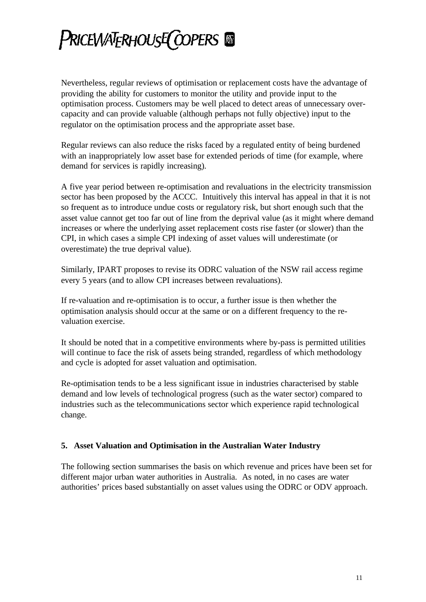Nevertheless, regular reviews of optimisation or replacement costs have the advantage of providing the ability for customers to monitor the utility and provide input to the optimisation process. Customers may be well placed to detect areas of unnecessary overcapacity and can provide valuable (although perhaps not fully objective) input to the regulator on the optimisation process and the appropriate asset base.

Regular reviews can also reduce the risks faced by a regulated entity of being burdened with an inappropriately low asset base for extended periods of time (for example, where demand for services is rapidly increasing).

A five year period between re-optimisation and revaluations in the electricity transmission sector has been proposed by the ACCC. Intuitively this interval has appeal in that it is not so frequent as to introduce undue costs or regulatory risk, but short enough such that the asset value cannot get too far out of line from the deprival value (as it might where demand increases or where the underlying asset replacement costs rise faster (or slower) than the CPI, in which cases a simple CPI indexing of asset values will underestimate (or overestimate) the true deprival value).

Similarly, IPART proposes to revise its ODRC valuation of the NSW rail access regime every 5 years (and to allow CPI increases between revaluations).

If re-valuation and re-optimisation is to occur, a further issue is then whether the optimisation analysis should occur at the same or on a different frequency to the revaluation exercise.

It should be noted that in a competitive environments where by-pass is permitted utilities will continue to face the risk of assets being stranded, regardless of which methodology and cycle is adopted for asset valuation and optimisation.

Re-optimisation tends to be a less significant issue in industries characterised by stable demand and low levels of technological progress (such as the water sector) compared to industries such as the telecommunications sector which experience rapid technological change.

### **5. Asset Valuation and Optimisation in the Australian Water Industry**

The following section summarises the basis on which revenue and prices have been set for different major urban water authorities in Australia. As noted, in no cases are water authorities' prices based substantially on asset values using the ODRC or ODV approach.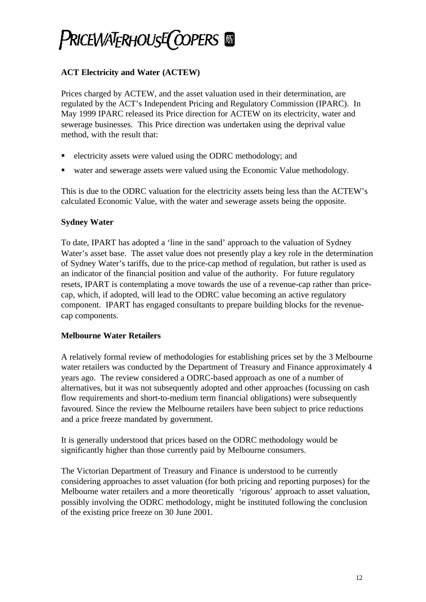## **ACT Electricity and Water (ACTEW)**

Prices charged by ACTEW, and the asset valuation used in their determination, are regulated by the ACT's Independent Pricing and Regulatory Commission (IPARC). In May 1999 IPARC released its Price direction for ACTEW on its electricity, water and sewerage businesses. This Price direction was undertaken using the deprival value method, with the result that:

- ß electricity assets were valued using the ODRC methodology; and
- ß water and sewerage assets were valued using the Economic Value methodology.

This is due to the ODRC valuation for the electricity assets being less than the ACTEW's calculated Economic Value, with the water and sewerage assets being the opposite.

### **Sydney Water**

To date, IPART has adopted a 'line in the sand' approach to the valuation of Sydney Water's asset base. The asset value does not presently play a key role in the determination of Sydney Water's tariffs, due to the price-cap method of regulation, but rather is used as an indicator of the financial position and value of the authority. For future regulatory resets, IPART is contemplating a move towards the use of a revenue-cap rather than pricecap, which, if adopted, will lead to the ODRC value becoming an active regulatory component. IPART has engaged consultants to prepare building blocks for the revenuecap components.

### **Melbourne Water Retailers**

A relatively formal review of methodologies for establishing prices set by the 3 Melbourne water retailers was conducted by the Department of Treasury and Finance approximately 4 years ago. The review considered a ODRC-based approach as one of a number of alternatives, but it was not subsequently adopted and other approaches (focussing on cash flow requirements and short-to-medium term financial obligations) were subsequently favoured. Since the review the Melbourne retailers have been subject to price reductions and a price freeze mandated by government.

It is generally understood that prices based on the ODRC methodology would be significantly higher than those currently paid by Melbourne consumers.

The Victorian Department of Treasury and Finance is understood to be currently considering approaches to asset valuation (for both pricing and reporting purposes) for the Melbourne water retailers and a more theoretically 'rigorous' approach to asset valuation, possibly involving the ODRC methodology, might be instituted following the conclusion of the existing price freeze on 30 June 2001.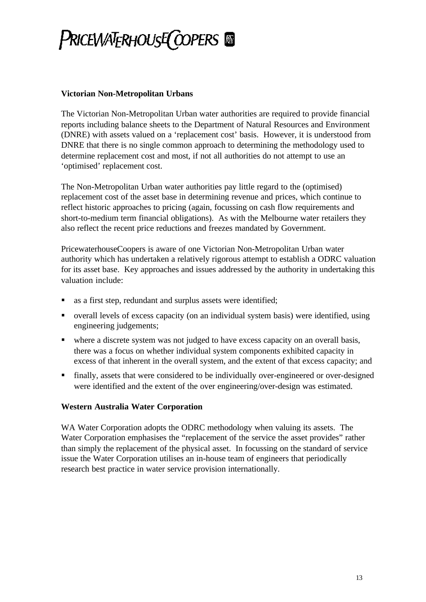#### **Victorian Non-Metropolitan Urbans**

The Victorian Non-Metropolitan Urban water authorities are required to provide financial reports including balance sheets to the Department of Natural Resources and Environment (DNRE) with assets valued on a 'replacement cost' basis. However, it is understood from DNRE that there is no single common approach to determining the methodology used to determine replacement cost and most, if not all authorities do not attempt to use an 'optimised' replacement cost.

The Non-Metropolitan Urban water authorities pay little regard to the (optimised) replacement cost of the asset base in determining revenue and prices, which continue to reflect historic approaches to pricing (again, focussing on cash flow requirements and short-to-medium term financial obligations). As with the Melbourne water retailers they also reflect the recent price reductions and freezes mandated by Government.

PricewaterhouseCoopers is aware of one Victorian Non-Metropolitan Urban water authority which has undertaken a relatively rigorous attempt to establish a ODRC valuation for its asset base. Key approaches and issues addressed by the authority in undertaking this valuation include:

- ß as a first step, redundant and surplus assets were identified;
- ß overall levels of excess capacity (on an individual system basis) were identified, using engineering judgements;
- where a discrete system was not judged to have excess capacity on an overall basis, there was a focus on whether individual system components exhibited capacity in excess of that inherent in the overall system, and the extent of that excess capacity; and
- finally, assets that were considered to be individually over-engineered or over-designed were identified and the extent of the over engineering/over-design was estimated.

### **Western Australia Water Corporation**

WA Water Corporation adopts the ODRC methodology when valuing its assets. The Water Corporation emphasises the "replacement of the service the asset provides" rather than simply the replacement of the physical asset. In focussing on the standard of service issue the Water Corporation utilises an in-house team of engineers that periodically research best practice in water service provision internationally.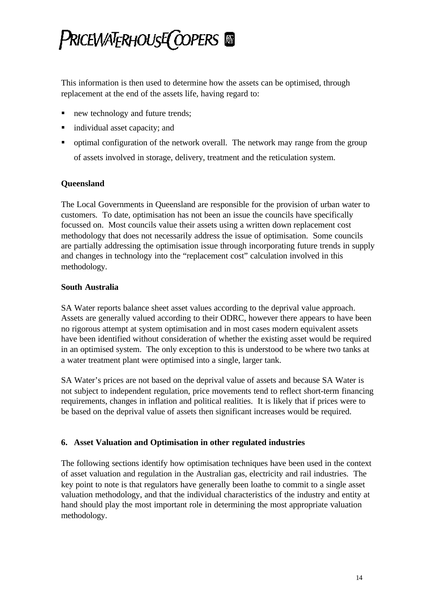This information is then used to determine how the assets can be optimised, through replacement at the end of the assets life, having regard to:

- new technology and future trends;
- individual asset capacity; and
- ß optimal configuration of the network overall. The network may range from the group of assets involved in storage, delivery, treatment and the reticulation system.

### **Queensland**

The Local Governments in Queensland are responsible for the provision of urban water to customers. To date, optimisation has not been an issue the councils have specifically focussed on. Most councils value their assets using a written down replacement cost methodology that does not necessarily address the issue of optimisation. Some councils are partially addressing the optimisation issue through incorporating future trends in supply and changes in technology into the "replacement cost" calculation involved in this methodology.

#### **South Australia**

SA Water reports balance sheet asset values according to the deprival value approach. Assets are generally valued according to their ODRC, however there appears to have been no rigorous attempt at system optimisation and in most cases modern equivalent assets have been identified without consideration of whether the existing asset would be required in an optimised system. The only exception to this is understood to be where two tanks at a water treatment plant were optimised into a single, larger tank.

SA Water's prices are not based on the deprival value of assets and because SA Water is not subject to independent regulation, price movements tend to reflect short-term financing requirements, changes in inflation and political realities. It is likely that if prices were to be based on the deprival value of assets then significant increases would be required.

### **6. Asset Valuation and Optimisation in other regulated industries**

The following sections identify how optimisation techniques have been used in the context of asset valuation and regulation in the Australian gas, electricity and rail industries. The key point to note is that regulators have generally been loathe to commit to a single asset valuation methodology, and that the individual characteristics of the industry and entity at hand should play the most important role in determining the most appropriate valuation methodology.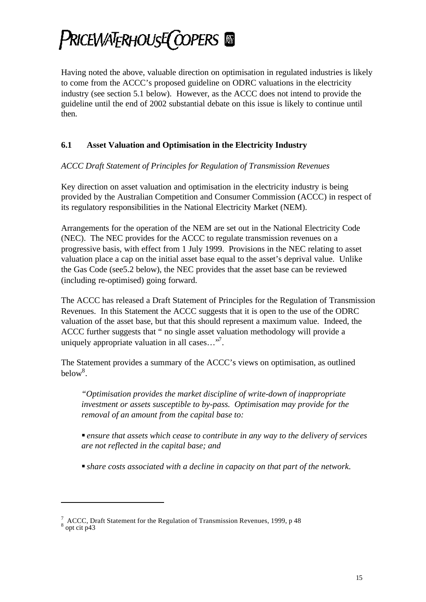## Pricewaterhouse(copers @

Having noted the above, valuable direction on optimisation in regulated industries is likely to come from the ACCC's proposed guideline on ODRC valuations in the electricity industry (see section 5.1 below). However, as the ACCC does not intend to provide the guideline until the end of 2002 substantial debate on this issue is likely to continue until then.

## **6.1 Asset Valuation and Optimisation in the Electricity Industry**

*ACCC Draft Statement of Principles for Regulation of Transmission Revenues*

Key direction on asset valuation and optimisation in the electricity industry is being provided by the Australian Competition and Consumer Commission (ACCC) in respect of its regulatory responsibilities in the National Electricity Market (NEM).

Arrangements for the operation of the NEM are set out in the National Electricity Code (NEC). The NEC provides for the ACCC to regulate transmission revenues on a progressive basis, with effect from 1 July 1999. Provisions in the NEC relating to asset valuation place a cap on the initial asset base equal to the asset's deprival value. Unlike the Gas Code (see5.2 below), the NEC provides that the asset base can be reviewed (including re-optimised) going forward.

The ACCC has released a Draft Statement of Principles for the Regulation of Transmission Revenues. In this Statement the ACCC suggests that it is open to the use of the ODRC valuation of the asset base, but that this should represent a maximum value. Indeed, the ACCC further suggests that " no single asset valuation methodology will provide a uniquely appropriate valuation in all cases... $\mathcal{F}$ .

The Statement provides a summary of the ACCC's views on optimisation, as outlined below<sup>8</sup>.

*"Optimisation provides the market discipline of write-down of inappropriate investment or assets susceptible to by-pass. Optimisation may provide for the removal of an amount from the capital base to:*

ß *ensure that assets which cease to contribute in any way to the delivery of services are not reflected in the capital base; and*

ß *share costs associated with a decline in capacity on that part of the network.*

l

<sup>&</sup>lt;sup>7</sup> ACCC, Draft Statement for the Regulation of Transmission Revenues, 1999, p 48<br><sup>8</sup> opt cit p43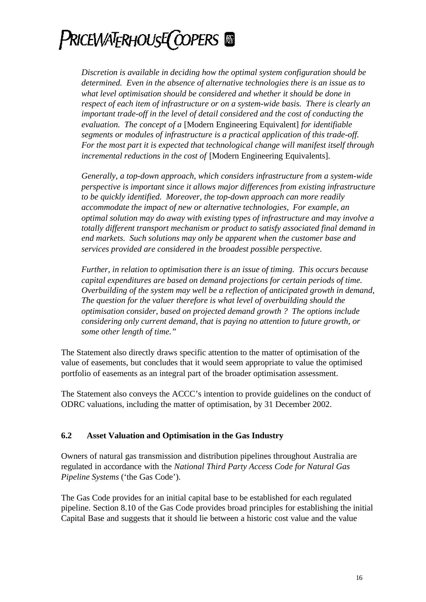*Discretion is available in deciding how the optimal system configuration should be determined. Even in the absence of alternative technologies there is an issue as to what level optimisation should be considered and whether it should be done in respect of each item of infrastructure or on a system-wide basis. There is clearly an important trade-off in the level of detail considered and the cost of conducting the evaluation. The concept of a* [Modern Engineering Equivalent] *for identifiable segments or modules of infrastructure is a practical application of this trade-off. For the most part it is expected that technological change will manifest itself through incremental reductions in the cost of* [Modern Engineering Equivalents].

*Generally, a top-down approach, which considers infrastructure from a system-wide perspective is important since it allows major differences from existing infrastructure to be quickly identified. Moreover, the top-down approach can more readily accommodate the impact of new or alternative technologies, For example, an optimal solution may do away with existing types of infrastructure and may involve a totally different transport mechanism or product to satisfy associated final demand in end markets. Such solutions may only be apparent when the customer base and services provided are considered in the broadest possible perspective.*

*Further, in relation to optimisation there is an issue of timing. This occurs because capital expenditures are based on demand projections for certain periods of time. Overbuilding of the system may well be a reflection of anticipated growth in demand, The question for the valuer therefore is what level of overbuilding should the optimisation consider, based on projected demand growth ? The options include considering only current demand, that is paying no attention to future growth, or some other length of time."*

The Statement also directly draws specific attention to the matter of optimisation of the value of easements, but concludes that it would seem appropriate to value the optimised portfolio of easements as an integral part of the broader optimisation assessment.

The Statement also conveys the ACCC's intention to provide guidelines on the conduct of ODRC valuations, including the matter of optimisation, by 31 December 2002.

### **6.2 Asset Valuation and Optimisation in the Gas Industry**

Owners of natural gas transmission and distribution pipelines throughout Australia are regulated in accordance with the *National Third Party Access Code for Natural Gas Pipeline Systems* ('the Gas Code').

The Gas Code provides for an initial capital base to be established for each regulated pipeline. Section 8.10 of the Gas Code provides broad principles for establishing the initial Capital Base and suggests that it should lie between a historic cost value and the value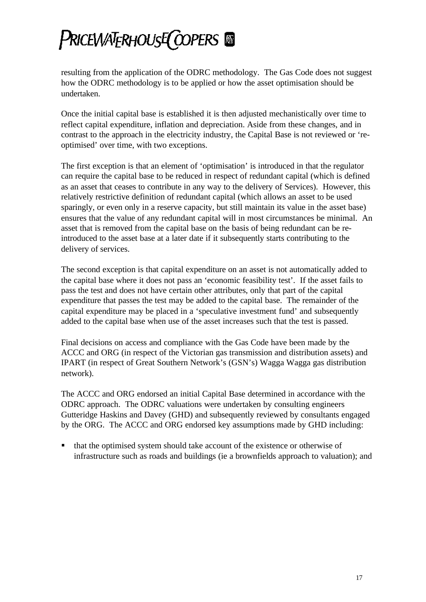resulting from the application of the ODRC methodology. The Gas Code does not suggest how the ODRC methodology is to be applied or how the asset optimisation should be undertaken.

Once the initial capital base is established it is then adjusted mechanistically over time to reflect capital expenditure, inflation and depreciation. Aside from these changes, and in contrast to the approach in the electricity industry, the Capital Base is not reviewed or 'reoptimised' over time, with two exceptions.

The first exception is that an element of 'optimisation' is introduced in that the regulator can require the capital base to be reduced in respect of redundant capital (which is defined as an asset that ceases to contribute in any way to the delivery of Services). However, this relatively restrictive definition of redundant capital (which allows an asset to be used sparingly, or even only in a reserve capacity, but still maintain its value in the asset base) ensures that the value of any redundant capital will in most circumstances be minimal. An asset that is removed from the capital base on the basis of being redundant can be reintroduced to the asset base at a later date if it subsequently starts contributing to the delivery of services.

The second exception is that capital expenditure on an asset is not automatically added to the capital base where it does not pass an 'economic feasibility test'. If the asset fails to pass the test and does not have certain other attributes, only that part of the capital expenditure that passes the test may be added to the capital base. The remainder of the capital expenditure may be placed in a 'speculative investment fund' and subsequently added to the capital base when use of the asset increases such that the test is passed.

Final decisions on access and compliance with the Gas Code have been made by the ACCC and ORG (in respect of the Victorian gas transmission and distribution assets) and IPART (in respect of Great Southern Network's (GSN's) Wagga Wagga gas distribution network).

The ACCC and ORG endorsed an initial Capital Base determined in accordance with the ODRC approach. The ODRC valuations were undertaken by consulting engineers Gutteridge Haskins and Davey (GHD) and subsequently reviewed by consultants engaged by the ORG. The ACCC and ORG endorsed key assumptions made by GHD including:

ß that the optimised system should take account of the existence or otherwise of infrastructure such as roads and buildings (ie a brownfields approach to valuation); and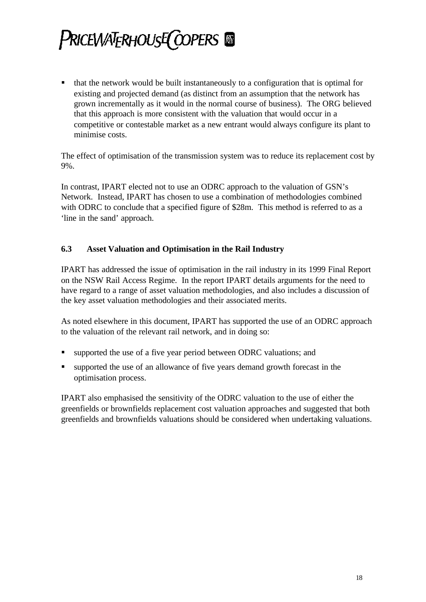ß that the network would be built instantaneously to a configuration that is optimal for existing and projected demand (as distinct from an assumption that the network has grown incrementally as it would in the normal course of business). The ORG believed that this approach is more consistent with the valuation that would occur in a competitive or contestable market as a new entrant would always configure its plant to minimise costs.

The effect of optimisation of the transmission system was to reduce its replacement cost by 9%.

In contrast, IPART elected not to use an ODRC approach to the valuation of GSN's Network. Instead, IPART has chosen to use a combination of methodologies combined with ODRC to conclude that a specified figure of \$28m. This method is referred to as a 'line in the sand' approach.

### **6.3 Asset Valuation and Optimisation in the Rail Industry**

IPART has addressed the issue of optimisation in the rail industry in its 1999 Final Report on the NSW Rail Access Regime. In the report IPART details arguments for the need to have regard to a range of asset valuation methodologies, and also includes a discussion of the key asset valuation methodologies and their associated merits.

As noted elsewhere in this document, IPART has supported the use of an ODRC approach to the valuation of the relevant rail network, and in doing so:

- ß supported the use of a five year period between ODRC valuations; and
- In supported the use of an allowance of five years demand growth forecast in the optimisation process.

IPART also emphasised the sensitivity of the ODRC valuation to the use of either the greenfields or brownfields replacement cost valuation approaches and suggested that both greenfields and brownfields valuations should be considered when undertaking valuations.